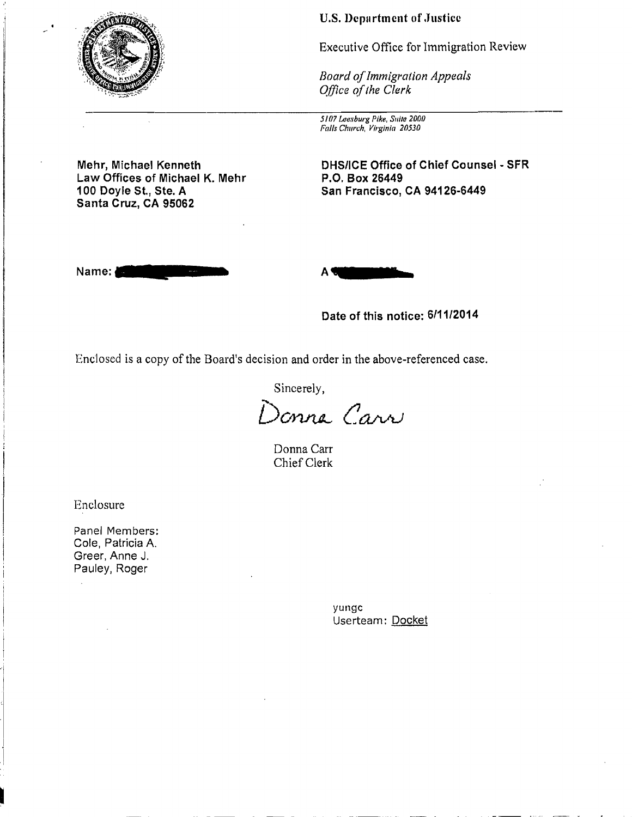

**U.S. Department of Justice** 

Executive Office for Immigration Review

*Board ofImmigration Appeals Office of the Clerk* 

5107 Leesburg Pike, Suite 2000 Falls Church, Virginia 20530

**Mehr, Michael Kenneth DHS/ICE Office of Chief Counsel - SFR**  Law Offices of Michael K. Mehr P.O. Box 26449<br>100 Doyle St., Ste. A **Brand Band Band Francisco**, **Santa Cruz, CA 95062** 

**Name:\_** 



**Date of this notice: 6/11/2014** 

**100 Doyle St., Ste. A San Francisco, CA 94126-6449** 

Enclosed is a copy of the Board's decision and order in the above-referenced case.

Sincerely,

*D0Yut4.--CWVU* 

Donna Carr Chief Clerk

Enclosure

Panel Members: Cole, Patricia A. Greer, Anne J. Pauley, Roger

> yungc Userteam: Docket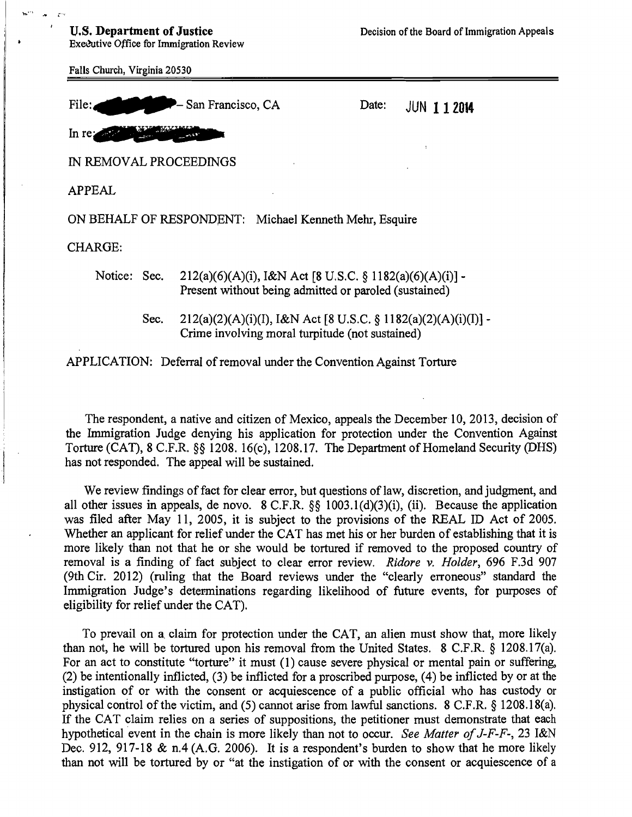Executive Office for Immigration Review

 $\mathbf{I}$ 

Falls Church, Virginia 20530 File: San Francisco, CA Date: JUN **112014** In  $re_{\mathbf{z}}$ IN REMOVAL PROCEEDINGS APPEAL ON BEHALF OF RESPONDENT: Michael Kenneth Mehr, Esquire CHARGE: Notice: Sec. 212(a)(6)(A)(i), I&N Act [8 U.S.C. § 1182(a)(6)(A)(i)] -Present without being admitted or paroled (sustained)

> Sec.  $212(a)(2)(A)(i)(I), I\&N$  Act [8 U.S.C. § 1182(a)(2)(A)(i)(I)] -Crime involving moral turpitude (not sustained)

APPLICATION: Deferral of removal under the Convention Against Torture

The respondent, a native and citizen of Mexico, appeals the December 10, 2013, decision of the Immigration Judge denying his application for protection under the Convention Against Torture (CAT), 8 C.F.R. §§ 1208. 16(c), 1208.17. The Department of Homeland Security (DHS) has not responded. The appeal will be sustained.

We review findings of fact for clear error, but questions of law, discretion, and judgment, and all other issues in appeals, de novo. 8 C.F.R. §§ 1003.l(d)(3)(i), (ii). Because the application was filed after May II, 2005, it is subject to the provisions of the REAL ID Act of 2005. Whether an applicant for relief under the CAT has met his or her burden of establishing that it is more likely than not that he or she would be tortured if removed to the proposed country of removal is a finding of fact subject to clear error review. *Ridore v. Holder*, 696 F.3d 907 (9th Cir. 2012) (ruling that the Board reviews under the "clearly erroneous" standard the Immigration Judge's determinations regarding likelihood of future events, for purposes of eligibility for relief under the CAT).

To prevail on a, claim for protection under the CAT, an alien must show that, more likely than not, he will be tortured upon his removal from the United States. 8 C.F.R. § 1208.l7(a). For an act to constitute "torture" it must (1) cause severe physical or mental pain or suffering, (2) be intentionally inflicted, (3) be inflicted for a proscribed purpose, (4) be inflicted by or at the instigation of or with the consent or acquiescence of a public official who has custody or physical control of the victim, and (5) cannot arise from lawful sanctions. 8 C.F.R. § 1208.l8(a). If the CAT claim relies on a series of suppositions, the petitioner must demonstrate that each hypothetical event in the chain is more likely than not to occur. *See Matter of J-F-F-*, 23 I&N Dec. 912, 917-18 & n.4 (A.G. 2006). It is a respondent's burden to show that he more likely than not will be tortured by or "at the instigation of or with the consent or acquiescence of a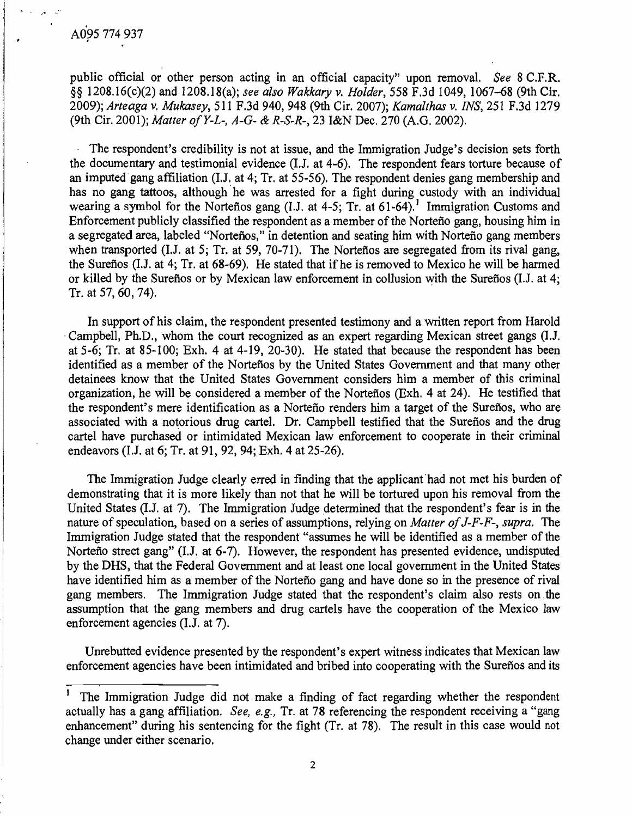i ' ll.

..... '.

public official or other person acting in an official capacity" upon removal. *See* 8 C.F.R. §§ 1208.16(c)(2) and 1208.18(a); see also Wakkary v. *Holder*, 558 F.3d 1049, 1067–68 (9th Cir. *2009); Arteaga* v. *Mukasey,* 511 FJd 940, 948 (9th Cir. 2007); *Kamalthas* v. *INS,* 251 F.3d 1279 (9th Cir. 2001); *Matter ofY-L-. A-G-* & *R-S-R-,* 23 I&N Dec. 270 (A.G. 2002).

The respondent's credibility is not at issue, and the Immigration Judge's decision sets forth the documentary and testimonial evidence (1.1. at 4-6). The respondent fears torture because of an imputed gang affiliation (LJ. at 4; Tr. at 55-56). The respondent denies gang membership and has no gang tattoos, although he was arrested for a fight during custody with an individual wearing a symbol for the Norteños gang (I.J. at 4-5; Tr. at 61-64).<sup>1</sup> Immigration Customs and Enforcement publicly classified the respondent as a member of the Nortefio gang, housing him in a segregated area, labeled "Norteños," in detention and seating him with Norteño gang members when transported (I.J. at 5; Tr. at 59, 70-71). The Norteflos are segregated from its rival gang, the Surefios (I.J. at 4; Tr. at 68-69). He stated that if he is removed to Mexico he will be harmed or killed by the Sureflos or by Mexican law enforcement in collusion with the Sureflos (I.J. at 4; Tr. at 57, 60, 74).

In support of his claim, the respondent presented testimony and a written report from Harold Campbell, Ph.D., whom the court recognized as an expert regarding Mexican street gangs (I.J. at 5-6; Tr. at 85-100; Exh. 4 at 4-19,20-30). He stated that because the respondent has been identified as a member of the Norteños by the United States Government and that many other detainees know that the United States Government considers him a member of this criminal organization, he will be considered a member of the Nortefios (Exh. 4 at 24). He testified that the respondent's mere identification as a Norteño renders him a target of the Sureños, who are associated with a notorious drug cartel. Dr. Campbell testified that the Surefios and the drug cartel have purchased or intimidated Mexican law enforcement to cooperate in their criminal endeavors (1.1. at 6; Tr. at 91, 92, 94; Exh. 4 at 25-26).

The Immigration Judge clearly erred in finding that the applicant had not met his burden of demonstrating that it is more likely than not that he will be tortured upon his removal from the United States (I.J. at 7). The Immigration Judge determined that the respondent's fear is in the nature of speculation, based on a series of assumptions, relying on *Matter ofJ-F-F-, supra.* The Immigration Judge stated that the respondent "assumes he will be identified as a member of the Nortefio street gang" (1.J. at 6-7). However, the respondent has presented evidence, undisputed by the DHS, that the Federal Government and at least one local government in the United States have identified him as a member of the Norteño gang and have done so in the presence of rival gang members. The Immigration Judge stated that the respondent's claim also rests on the assumption that the gang members and drug cartels have the cooperation of the Mexico law enforcement agencies (1.J. at 7).

Unrebutted evidence presented by the respondent's expert witness indicates that Mexican law enforcement agencies have been intimidated and bribed into cooperating with the Sureños and its

The Immigration Judge did not make a finding of fact regarding whether the respondent actually has a gang affiliation. *See, e.g.,* Tr. at 78 referencing the respondent receiving a "gang enhancement" during his sentencing for the fight (Tr. at 78). The result in this case would not change under either scenario.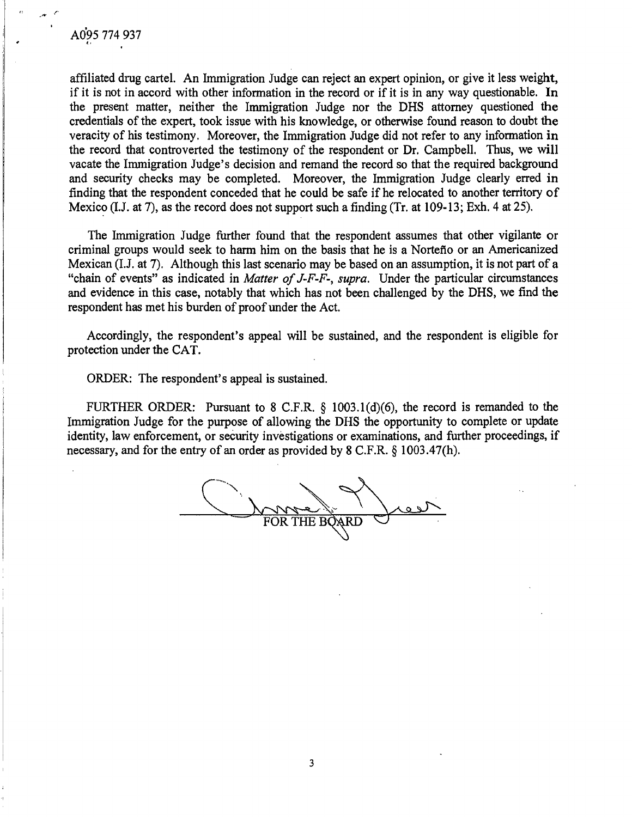affiliated drug cartel. An Immigration Judge can reject an expert opinion, or give it less weight, if it is not in accord with other information in the record or if it is in any way questionable. In the present matter, neither the Immigration Judge nor the DHS attorney questioned the credentials of the expert, took issue with his knowledge, or otherwise found reason to doubt the veracity of his testimony. Moreover, the Immigration Judge did not refer to any information in the record that controverted the testimony of the respondent or Dr. Campbell. Thus, we will vacate the Immigration Judge's decision and remand the record so that the required background and security checks may be completed. Moreover, the Immigration Judge clearly erred in finding that the respondent conceded that he could be safe if he relocated to another territory of Mexico (I.J. at 7), as the record does not support such a finding (Tr. at 109-13; Exh. 4 at 25).

The Immigration Judge further found that the respondent assumes that other vigilante or criminal groups would seek to harm him on the basis that he is a Nortefio or an Americanized Mexican (I.J. at 7). Although this last scenario may be based on an assumption, it is not part of a "chain of events" as indicated in *Matter of J-F-F-, supra.* Under the particular circumstances and evidence in this case, notably that which has not been challenged by the DHS, we find the respondent has met his burden of proof under the Act.

Accordingly, the respondent's appeal will be sustained, and the respondent is eligible for protection under the CAT.

ORDER: The respondent's appeal is sustained.

FURTHER ORDER: Pursuant to 8 C.F.R. § 1003.l(d)(6), the record is remanded to the Immigration Judge for the purpose of allowing the DHS the opportunity to complete or update identity, law enforcement, or security investigations or examinations, and further proceedings, if necessary, and for the entry of an order as provided by 8 C.F.R. § 1003.47(h).